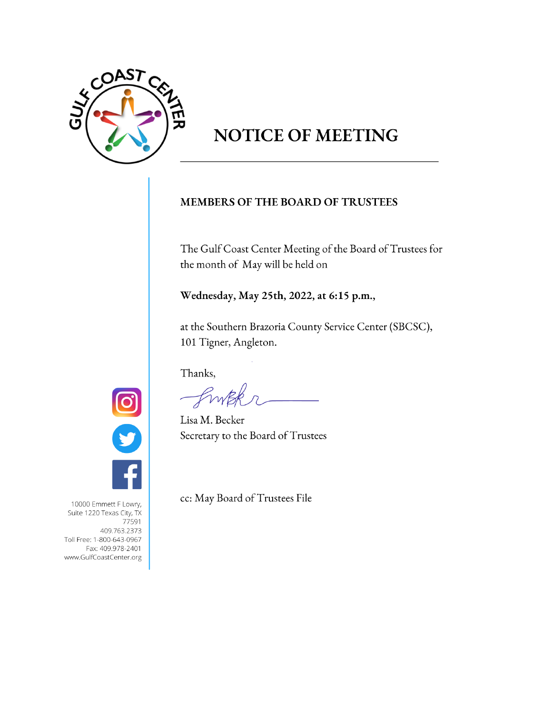

# **NOTICE OF MEETING**

# MEMBERS OF THE BOARD OF TRUSTEES

The Gulf Coast Center Meeting of the Board of Trustees for the month of May will be held on

Wednesday, May 25th, 2022, at 6:15 p.m.,

at the Southern Brazoria County Service Center (SBCSC), 101 Tigner, Angleton.

Thanks,

Lisa M. Becker Secretary to the Board of Trustees



cc: May Board of Trustees File

10000 Emmett F Lowry, Suite 1220 Texas City, TX 77591 409.763.2373 Toll Free: 1-800-643-0967 Fax: 409.978-2401 www.GulfCoastCenter.org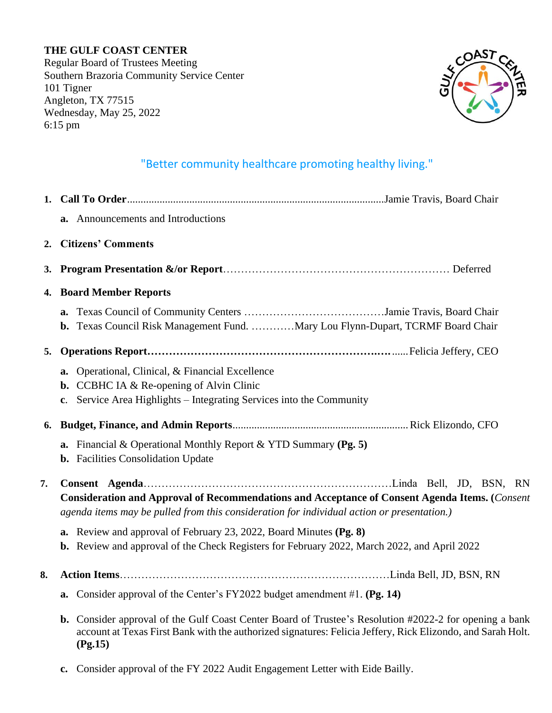# **THE GULF COAST CENTER**

Regular Board of Trustees Meeting Southern Brazoria Community Service Center 101 Tigner Angleton, TX 77515 Wednesday, May 25, 2022 6:15 pm



# "Better community healthcare promoting healthy living."

|           | a. Announcements and Introductions                                                                                                                                                                                               |
|-----------|----------------------------------------------------------------------------------------------------------------------------------------------------------------------------------------------------------------------------------|
|           | 2. Citizens' Comments                                                                                                                                                                                                            |
| <b>3.</b> |                                                                                                                                                                                                                                  |
|           | 4. Board Member Reports                                                                                                                                                                                                          |
|           | b. Texas Council Risk Management Fund. Mary Lou Flynn-Dupart, TCRMF Board Chair                                                                                                                                                  |
| 5.        |                                                                                                                                                                                                                                  |
|           | a. Operational, Clinical, & Financial Excellence<br><b>b.</b> CCBHC IA $\&$ Re-opening of Alvin Clinic<br>Service Area Highlights – Integrating Services into the Community<br>c.                                                |
| 6.        |                                                                                                                                                                                                                                  |
|           | <b>a.</b> Financial & Operational Monthly Report & YTD Summary (Pg. 5)<br><b>b.</b> Facilities Consolidation Update                                                                                                              |
| 7.        | Consideration and Approval of Recommendations and Acceptance of Consent Agenda Items. (Consent<br>agenda items may be pulled from this consideration for individual action or presentation.)                                     |
|           | <b>a.</b> Review and approval of February 23, 2022, Board Minutes (Pg. 8)<br>b. Review and approval of the Check Registers for February 2022, March 2022, and April 2022                                                         |
| 8.        |                                                                                                                                                                                                                                  |
|           | a. Consider approval of the Center's FY2022 budget amendment #1. (Pg. 14)                                                                                                                                                        |
|           | b. Consider approval of the Gulf Coast Center Board of Trustee's Resolution #2022-2 for opening a bank<br>account at Texas First Bank with the authorized signatures: Felicia Jeffery, Rick Elizondo, and Sarah Holt.<br>(Pg.15) |
|           | Consider approval of the FY 2022 Audit Engagement Letter with Eide Bailly.<br>$c_{\bullet}$                                                                                                                                      |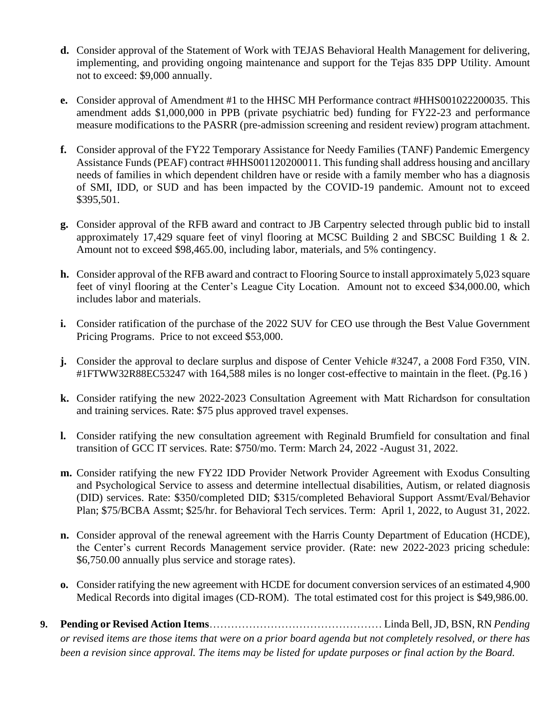- **d.** Consider approval of the Statement of Work with TEJAS Behavioral Health Management for delivering, implementing, and providing ongoing maintenance and support for the Tejas 835 DPP Utility. Amount not to exceed: \$9,000 annually.
- **e.** Consider approval of Amendment #1 to the HHSC MH Performance contract #HHS001022200035. This amendment adds \$1,000,000 in PPB (private psychiatric bed) funding for FY22-23 and performance measure modifications to the PASRR (pre-admission screening and resident review) program attachment.
- **f.** Consider approval of the FY22 Temporary Assistance for Needy Families (TANF) Pandemic Emergency Assistance Funds (PEAF) contract #HHS001120200011. This funding shall address housing and ancillary needs of families in which dependent children have or reside with a family member who has a diagnosis of SMI, IDD, or SUD and has been impacted by the COVID-19 pandemic. Amount not to exceed \$395,501.
- **g.** Consider approval of the RFB award and contract to JB Carpentry selected through public bid to install approximately 17,429 square feet of vinyl flooring at MCSC Building 2 and SBCSC Building 1 & 2. Amount not to exceed \$98,465.00, including labor, materials, and 5% contingency.
- **h.** Consider approval of the RFB award and contract to Flooring Source to install approximately 5,023 square feet of vinyl flooring at the Center's League City Location. Amount not to exceed \$34,000.00, which includes labor and materials.
- **i.** Consider ratification of the purchase of the 2022 SUV for CEO use through the Best Value Government Pricing Programs. Price to not exceed \$53,000.
- **j.** Consider the approval to declare surplus and dispose of Center Vehicle #3247, a 2008 Ford F350, VIN. #1FTWW32R88EC53247 with 164,588 miles is no longer cost-effective to maintain in the fleet. (Pg.16 )
- **k.** Consider ratifying the new 2022-2023 Consultation Agreement with Matt Richardson for consultation and training services. Rate: \$75 plus approved travel expenses.
- **l.** Consider ratifying the new consultation agreement with Reginald Brumfield for consultation and final transition of GCC IT services. Rate: \$750/mo. Term: March 24, 2022 -August 31, 2022.
- **m.** Consider ratifying the new FY22 IDD Provider Network Provider Agreement with Exodus Consulting and Psychological Service to assess and determine intellectual disabilities, Autism, or related diagnosis (DID) services. Rate: \$350/completed DID; \$315/completed Behavioral Support Assmt/Eval/Behavior Plan; \$75/BCBA Assmt; \$25/hr. for Behavioral Tech services. Term: April 1, 2022, to August 31, 2022.
- **n.** Consider approval of the renewal agreement with the Harris County Department of Education (HCDE), the Center's current Records Management service provider. (Rate: new 2022-2023 pricing schedule: \$6,750.00 annually plus service and storage rates).
- **o.** Consider ratifying the new agreement with HCDE for document conversion services of an estimated 4,900 Medical Records into digital images (CD-ROM). The total estimated cost for this project is \$49,986.00.
- **9. Pending or Revised Action Items**………………………………………… Linda Bell, JD, BSN, RN *Pending or revised items are those items that were on a prior board agenda but not completely resolved, or there has been a revision since approval. The items may be listed for update purposes or final action by the Board.*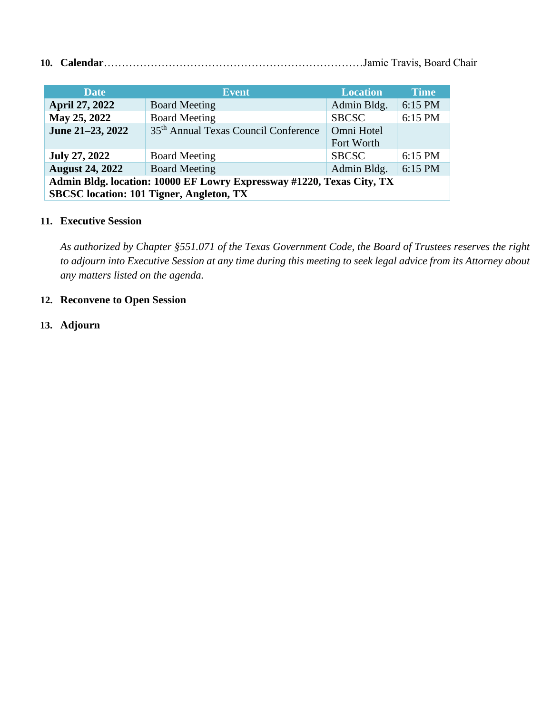**10. Calendar**………………………………………………………………Jamie Travis, Board Chair

| <b>Date</b>            | <b>Event</b>                                                          | <b>Location</b> | <b>Time</b> |
|------------------------|-----------------------------------------------------------------------|-----------------|-------------|
| <b>April 27, 2022</b>  | <b>Board Meeting</b>                                                  | Admin Bldg.     | 6:15 PM     |
| May 25, 2022           | <b>Board Meeting</b>                                                  | <b>SBCSC</b>    | 6:15 PM     |
| June 21-23, 2022       | 35 <sup>th</sup> Annual Texas Council Conference                      | Omni Hotel      |             |
|                        |                                                                       | Fort Worth      |             |
| <b>July 27, 2022</b>   | <b>Board Meeting</b>                                                  | <b>SBCSC</b>    | 6:15 PM     |
| <b>August 24, 2022</b> | <b>Board Meeting</b>                                                  | Admin Bldg.     | 6:15 PM     |
|                        | Admin Bldg. location: 10000 EF Lowry Expressway #1220, Texas City, TX |                 |             |
|                        | <b>SBCSC</b> location: 101 Tigner, Angleton, TX                       |                 |             |

## **11. Executive Session**

*As authorized by Chapter §551.071 of the Texas Government Code, the Board of Trustees reserves the right to adjourn into Executive Session at any time during this meeting to seek legal advice from its Attorney about any matters listed on the agenda.* 

## **12. Reconvene to Open Session**

**13. Adjourn**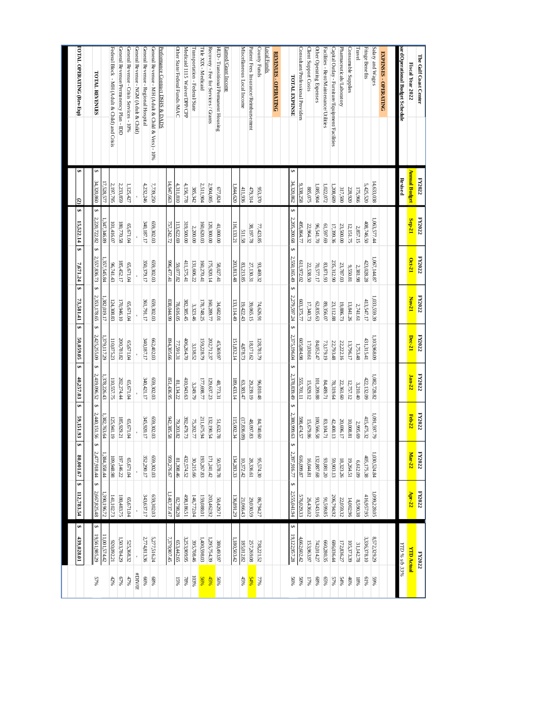| The Gulf Coast Center<br>Fiscal Year 2022         | Annual Budget<br>FY2022 | FY2022<br>Sep-21     | FY2022<br>Oct-21 | FY2022<br>Nov-21 | <b>FY2022</b><br>Dec-21 | <b>FY2022</b><br>$Jam-22$ | <b>FY2022</b><br><b>Feb-22</b> | <b>FY2022</b><br>Mar-22 | FY2022<br>$Apr-22$ | <b>YID Actual</b><br><b>FY2022</b> |         |
|---------------------------------------------------|-------------------------|----------------------|------------------|------------------|-------------------------|---------------------------|--------------------------------|-------------------------|--------------------|------------------------------------|---------|
| ard Operational Budget Schedule                   | Revised                 |                      |                  |                  |                         |                           |                                |                         |                    | YTD % 8/b 33%                      |         |
|                                                   |                         |                      |                  |                  |                         |                           |                                |                         |                    |                                    |         |
| EXPENSES - OPERATING                              |                         |                      |                  |                  |                         |                           |                                |                         |                    |                                    |         |
| Salary and Wages                                  | 14,633,038              | 1,063,577.44         | 1,067,144.87     | 1,033,559.39     | 1,103,968.09            | 1,082,728.82              | 62'165'160'                    | ,030,524.84             | ,099,228.05        | 8,572,329.29                       | %65     |
| Fringe Benefits                                   | 5,425,520               | 408,746.50           | 423,028.28       | 413,547.17       | 431,315.41              | 422,132.09                | 415,475.32                     | 405,175.38              | 416,957.95         | 3,336,378.10                       | 9619    |
| Travel                                            | 175,966                 | 2,857.15             | 2,381.98         | 2,741.61         | 1,753.48                | 3,210.40                  | 2,995.69                       | 6,612.09                | 8,590.38           | 31,142.78                          | 9681    |
| Consumable Supplies                               | 228,920                 | 12,151.75            | 18.039.81        | 13,841.26        | 13,796.17               | 12,757.12                 | 10,008.81                      | 19,264.51               | 14,002.96          | 105,373.39                         | 46%     |
| Pharmaceuticals/Laboratory                        | 317,500                 | 23,500.00            | 23,787.03        | 19,886.73        | 22,222.16               | 22,361.60                 | 20,696.17                      | 18,323.26               | 22,059.32          | 172,836.27                         | 54%     |
| Capital Outlay - Furniture/Equipment/Facilities   | 1,208,609               | 17,399.36            | 235,312.90       | 23,112.88        | 22,793.48               | 78,319.64                 | 42,400.13                      | 59,903.13               | 206,794.92         | 686,036.44                         | 57%     |
| Facilities - Rent/Maintenance/Utilitie:           | 1,022,072               | 69.797.69            | 83,871.93        | 89,356.07        | 73,179.19               | 128871                    | 83,104.71                      | 93,081.20               | S8'665'16          | 660,280.35                         | 65%     |
| Other Operating Expenses                          | 1,085,904               | 02.141.70            | 70,577.17        | 62,835.63        | 84,052.47               | 101,209.88                | 100,566.58                     | 132,887.68              | 93,343.16          | 742,014.27                         | %89     |
| Client Support Costs                              | 885,075                 | 22,964.32            | 22,538.50        | 17,340.73        | 17,030.61               | 15,929.12                 | 15,679.86                      | 16,044.81               | 26,436.02          | 153,963.97                         | 17%     |
| Consultant/Professional Providers                 | 9,338,258               | 495,864.77           | 611,972.02       | 603,375.77       | 605,084.98              | 555,701.11                | 598,474.57                     | 516,099.87              | 576,029.33         | 4,662,602.42                       | %0S     |
| <b>TOTAL EXPENSE</b>                              | ↮<br>34,320,862         | Ģ<br>2,205,200.68 \$ | 2,550,165.49 \$  | 2,279,597.24 \$  | 2,375,196.04 \$         | 2,378,839.49 \$           | 2,380,999.63                   | ↮<br>2,397,916.77   \$  | 2,555,041.94       | ↮<br>19,122,957.28                 | $56\%$  |
|                                                   |                         |                      |                  |                  |                         |                           |                                |                         |                    |                                    |         |
| <b>REVENUES - OPERATING</b>                       |                         |                      |                  |                  |                         |                           |                                |                         |                    |                                    |         |
| ocal Funds                                        |                         |                      |                  |                  |                         |                           |                                |                         |                    |                                    |         |
| County Funds                                      | 953,370                 | 77,423.85            | 93,469.32        | 74,626.91        | 128,781.79              | 96,810.48                 | 84,740.60                      | 95,574.30               | 86,794.27          | 738,221.52                         | 36L     |
| Patient Fees Insurance/Reimbursement              | 479,314                 | 38,197.78            | 27,130.31        | 39,065.15        | 18,171.62               | 29,239.19                 | 48,097.83                      | 28,336.61               | 29,030.59          | 257,269.08                         | 84%     |
| Miscellaneous Local Income                        | 411,936                 | 511.58               | 83,213.85        | 19,422.43        | 4.878.73                | 63,383.47                 | (17, 836.09)                   | 10,372.42               | 21,066.43          | 185,012.82                         | 45%     |
|                                                   | ,844,620                | 116,133.21           | 203,813.48       | 133,114.49       | 151,832.14              | 189,433.14                | 115,002.34                     | 134,283.33              | 136,891.29         | 180,503.42                         |         |
| Farned/Grant Income                               |                         |                      |                  |                  |                         |                           |                                |                         |                    |                                    |         |
| HUD - Transitional/Permanent Housing              | 677,824                 | 00'000'17            | 58,027.41        | 34,682.01        | 45,369.97               | 48,773.31                 | 51,632.78                      | 50,578.78               | 50,429.71          | 380,493.97                         | %%      |
| Recovery - Fee for Services / Grants              | 2,904,005               | 120,300.00           | 175,920.14       | 160,289.77       | 202,712.37              | 129,637.23                | 132,190.54                     | 171,241.42              | 203,462.92         | 1,295,754.39                       | 45%     |
| <b>Fitle XIX - Medicaid</b>                       | 2,511,904               | 160,620.03           | 160,270.41       | 178,748.25       | 159,228.79              | 17,698.77                 | 211,675.94                     | 193,267.83              | 159,088.01         | 1,400,598.03                       | 56%     |
| Transportation - Federal/State                    | 385,342                 | 2,200.00             | 131,606.22       | 3,323.46         | 3,138.52                | 3249.79                   | 75,202.77                      | 30,215.66               | 146,772.04         | 395,708.46                         | 103%    |
| Medicaid 1115 Waiver/DPP/CPP                      | 4,156,778               | 319,500.00           | 411,575.41       | 382,385.45       | 406,264.70              | 410,943.63                | 392,479.73                     | 432,574.52              | 498,186.51         | 3,253,909.95                       | 968L    |
| Other State/Federal Funds/MAC                     | 4,311,810               | 113,622.69           | 59,077.82        | 78,616.05        | 77.591.31               | 81,134.22                 | 79,203.82                      | 81,398.46               | 82,798.28          | 653,442.65                         | 15%     |
|                                                   | 14.947.663              | 757,242.72           | 996,477.41       | 838,044.99       | 894,305.66              | 851,436.95                | 942,385.58                     | 959,276.67              | 140,737.47         | 7,379,907.45                       |         |
| Performance Contract DSHS & DADS                  |                         |                      |                  |                  |                         |                           |                                |                         |                    |                                    |         |
| General Revenue - MH (Adult & Child & Vets) - 10% | 7,739,250               | 659,302.03           | 659,302.03       | 659,302.03       | 662,402.03              | 659,302.03                | 659,302.03                     | 659,302.03              | 659,302.03         | 5,277,516.24                       | %89     |
| General Revenue - Regional Hospital               | 4,232,246               | 340,187.17           | 350,379.17       | 361,791.17       | 340,187.17              | 340,421.17                | 345,920.17                     | 352,290.17              | 343,637.17         | 2,774,813.36                       | 9699    |
| General Revenue - NGM (Adult & Child)             |                         |                      |                  |                  |                         |                           |                                |                         |                    |                                    | #DIV/0! |
| General Revenue - Crisis Services - 10%           | 1,125,427               | 65,671.04            | 65,671.04        | 65,671.04        | 65,671.04               | 65,671.04                 | 65,671.04                      | 65,671.04               | 65,671.04          | 525,368.32                         | 47%     |
| General Revenue/Permanency Plan - IDD             | 2,233,859               | 180,770.58           | 185,452.17       | 170,946.10       | 200,781.82              | 202,274.44                | 185,929.21                     | 197,146.22              | 180,483.75         | 1,503,784.29                       | 679     |
| Federal Block - MH (Adult & Child) and Crisis     | 2,197,795               | 101,416.07           | 96,741.43        | 124,308.83       | 110,075.23              | 110,557.75                | 125,941.19                     | 109,948.98              | 141,102.73         | 920,092.21                         | 42%     |
|                                                   | 17,528,577              | 1,347,346.89         | 357,545.84       | 1,382,019.17     | 1,379,117.29            | 378,226.43                | ,382,763.64                    | ,384,358.44             | .390,196.72        | 11,001,574.42                      |         |
| <b>TOTAL REVENUES</b>                             | S<br>34,320,860         | S<br>$2220,72282$ \$ | 2,557,836.73 \$  | 2,353,178.65     | s<br>$2,425,255.09$ \$  | 2,419,096.52 \$           | 2,440,151.56                   | ↮<br>$2,47,918.44$ \$   | 2,667,825.48       | G,<br>19,561,985.29                | 5796    |
|                                                   |                         |                      |                  |                  |                         |                           |                                |                         |                    |                                    |         |
| <b>IOTAL OPERATING (Rev-Exp)</b>                  | G.<br>G                 | S<br>15,522.14<br>\$ | 7,671.24<br>ø    | 73,581.41        | s<br>50,059.05          | ø<br>40,257.03            | s<br>59,151.93                 | ₩<br>80,001.67          | ↮<br>112,783.54    | G.<br>439,028.01                   |         |
|                                                   |                         |                      |                  |                  |                         |                           |                                |                         |                    |                                    |         |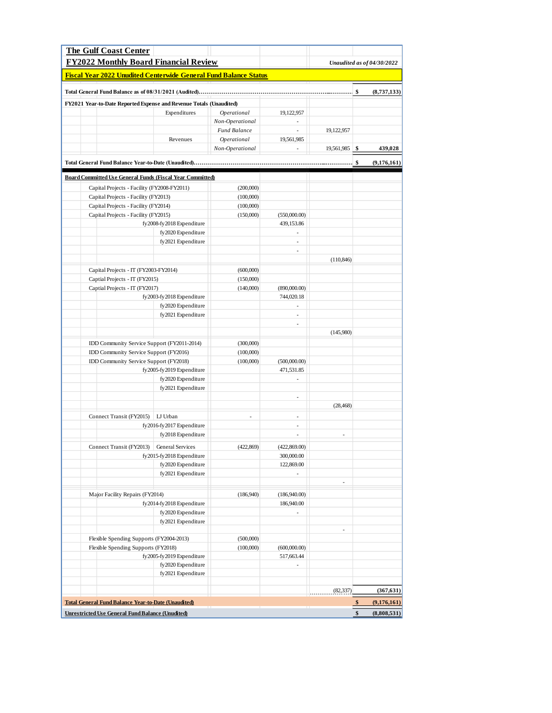| <b>The Gulf Coast Center</b>                                            |                           |                 |                            |                          |                            |
|-------------------------------------------------------------------------|---------------------------|-----------------|----------------------------|--------------------------|----------------------------|
| <b>FY2022 Monthly Board Financial Review</b>                            |                           |                 |                            |                          | Unaudited as of 04/30/2022 |
| <b>Fiscal Year 2022 Unudited Centerwide General Fund Balance Status</b> |                           |                 |                            |                          |                            |
|                                                                         |                           |                 |                            |                          | (8,737,133)                |
| FY2021 Year-to-Date Reported Expense and Revenue Totals (Unaudited)     |                           |                 |                            |                          |                            |
|                                                                         | Expenditures              | Operational     | 19,122,957                 |                          |                            |
|                                                                         |                           | Non-Operational | $\sim$                     |                          |                            |
|                                                                         |                           | Fund Balance    | a.                         | 19,122,957               |                            |
|                                                                         | Revenues                  | Operational     | 19,561,985                 |                          |                            |
|                                                                         |                           | Non-Operational | L.                         | $19,561,985$ \$          | 439,028                    |
|                                                                         |                           |                 |                            |                          | \$<br>(9,176,161)          |
| <b>Board Committed Use General Funds (Fiscal Year Committed)</b>        |                           |                 |                            |                          |                            |
| Capital Projects - Facility (FY2008-FY2011)                             |                           | (200,000)       |                            |                          |                            |
| Capital Projects - Facility (FY2013)                                    |                           | (100,000)       |                            |                          |                            |
| Capital Projects - Facility (FY2014)                                    |                           | (100,000)       |                            |                          |                            |
| Capital Projects - Facility (FY2015)                                    |                           | (150,000)       | (550,000.00)               |                          |                            |
|                                                                         | fy2008-fy2018 Expenditure |                 | 439,153.86                 |                          |                            |
|                                                                         | fy2020 Expenditure        |                 | $\overline{\phantom{a}}$   |                          |                            |
|                                                                         | fy2021 Expenditure        |                 | ä,                         |                          |                            |
|                                                                         |                           |                 | $\overline{\phantom{a}}$   |                          |                            |
|                                                                         |                           |                 |                            | (110, 846)               |                            |
| Capital Projects - IT (FY2003-FY2014)                                   |                           | (600,000)       |                            |                          |                            |
| Captial Projects - IT (FY2015)                                          |                           | (150,000)       |                            |                          |                            |
| Captial Projects - IT (FY2017)                                          | fy2003-fy2018 Expenditure | (140,000)       | (890,000.00)<br>744,020.18 |                          |                            |
|                                                                         | fy2020 Expenditure        |                 | ÷.                         |                          |                            |
|                                                                         | fy2021 Expenditure        |                 | $\overline{\phantom{a}}$   |                          |                            |
|                                                                         |                           |                 | ÷,                         |                          |                            |
|                                                                         |                           |                 |                            | (145,980)                |                            |
| IDD Community Service Support (FY2011-2014)                             |                           | (300,000)       |                            |                          |                            |
| IDD Community Service Support (FY2016)                                  |                           | (100,000)       |                            |                          |                            |
| IDD Community Service Support (FY2018)                                  |                           | (100,000)       | (500,000.00)               |                          |                            |
|                                                                         | fy2005-fy2019 Expenditure |                 | 471,531.85                 |                          |                            |
|                                                                         | fy2020 Expenditure        |                 |                            |                          |                            |
|                                                                         | fy2021 Expenditure        |                 |                            |                          |                            |
|                                                                         |                           |                 | $\overline{\phantom{a}}$   |                          |                            |
|                                                                         |                           |                 |                            | (28, 468)                |                            |
| Connect Transit (FY2015)   LJ Urban                                     |                           | ÷,              | ÷,                         |                          |                            |
|                                                                         | fy2016-fy2017 Expenditure |                 | ÷                          |                          |                            |
|                                                                         | fy2018 Expenditure        |                 | ÷,                         | $\overline{\phantom{m}}$ |                            |
| Connect Transit (FY2013) General Services                               |                           | (422, 869)      | (422, 869.00)              |                          |                            |
|                                                                         | fy2015-fy2018 Expenditure |                 | 300,000.00                 |                          |                            |
|                                                                         | fy2020 Expenditure        |                 | 122,869.00                 |                          |                            |
|                                                                         | fy2021 Expenditure        |                 |                            |                          |                            |
|                                                                         |                           |                 |                            | $\overline{\phantom{a}}$ |                            |
| Major Facility Repairs (FY2014)                                         |                           | (186,940)       | (186,940.00)               |                          |                            |
|                                                                         | fy2014-fy2018 Expenditure |                 | 186,940.00                 |                          |                            |
|                                                                         | fy2020 Expenditure        |                 | ÷,                         |                          |                            |
|                                                                         | fy2021 Expenditure        |                 |                            | Ĭ.                       |                            |
| Flexible Spending Supports (FY2004-2013)                                |                           | (500,000)       |                            |                          |                            |
| Flexible Spending Supports (FY2018)                                     |                           | (100,000)       | (600,000.00)               |                          |                            |
|                                                                         | fy2005-fy2019 Expenditure |                 | 517,663.44                 |                          |                            |
|                                                                         | fy2020 Expenditure        |                 | $\overline{\phantom{a}}$   |                          |                            |
|                                                                         | fy2021 Expenditure        |                 |                            |                          |                            |
|                                                                         |                           |                 |                            |                          |                            |
|                                                                         |                           |                 |                            | (82, 337)                | (367, 631)                 |
| <b>Total General Fund Balance Year-to-Date (Unaudited)</b>              |                           |                 |                            |                          | \$<br>(9,176,161)          |
| <b>Unrestricted Use General Fund Balance (Unudited)</b>                 |                           |                 |                            |                          | \$<br>(8,808,531)          |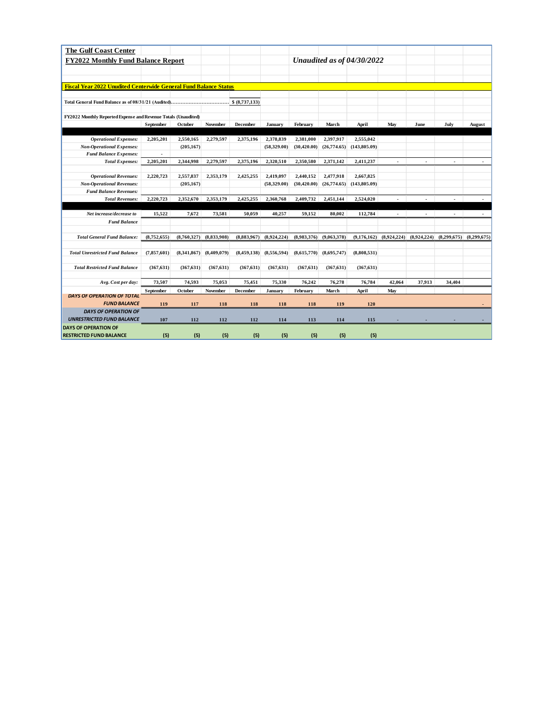| <b>The Gulf Coast Center</b>                                            |               |             |             |                |             |              |              |                            |             |             |                             |             |
|-------------------------------------------------------------------------|---------------|-------------|-------------|----------------|-------------|--------------|--------------|----------------------------|-------------|-------------|-----------------------------|-------------|
| <b>FY2022 Monthly Fund Balance Report</b>                               |               |             |             |                |             |              |              | Unaudited as of 04/30/2022 |             |             |                             |             |
|                                                                         |               |             |             |                |             |              |              |                            |             |             |                             |             |
|                                                                         |               |             |             |                |             |              |              |                            |             |             |                             |             |
| <b>Fiscal Year 2022 Unudited Centerwide General Fund Balance Status</b> |               |             |             |                |             |              |              |                            |             |             |                             |             |
|                                                                         |               |             |             |                |             |              |              |                            |             |             |                             |             |
|                                                                         |               |             |             | \$ (8,737,133) |             |              |              |                            |             |             |                             |             |
| FY2022 Monthly Reported Expense and Revenue Totals (Unaudited)          |               |             |             |                |             |              |              |                            |             |             |                             |             |
|                                                                         | September     | October     | November    | December       | January     | February     | March        | April                      | May         | June        | July                        | August      |
|                                                                         |               |             |             |                |             |              |              |                            |             |             |                             |             |
| <b>Operational Expenses:</b>                                            | 2,205,201     | 2,550,165   | 2,279,597   | 2,375,196      | 2,378,839   | 2,381,000    | 2,397,917    | 2,555,042                  |             |             |                             |             |
| <b>Non-Operational Expenses:</b>                                        |               | (205, 167)  |             |                | (58,329.00) | (30, 420.00) | (26,774.65)  | (143, 805.09)              |             |             |                             |             |
| <b>Fund Balance Expenses:</b>                                           |               |             |             |                |             |              |              |                            |             |             |                             |             |
| <b>Total Expenses:</b>                                                  | 2,205,201     | 2,344,998   | 2,279,597   | 2,375,196      | 2,320,510   | 2,350,580    | 2,371,142    | 2,411,237                  | ÷           | ÷           | $\mathcal{L}_{\mathcal{A}}$ |             |
| <b>Operational Revenues:</b>                                            | 2,220,723     | 2,557,837   | 2,353,179   | 2,425,255      | 2,419,097   | 2,440,152    | 2,477,918    | 2,667,825                  |             |             |                             |             |
| <b>Non-Operational Revenues:</b>                                        |               | (205, 167)  |             |                | (58,329.00) | (30, 420.00) | (26, 774.65) | (143, 805.09)              |             |             |                             |             |
| <b>Fund Balance Revenues:</b>                                           |               |             |             |                |             |              |              |                            |             |             |                             |             |
| <b>Total Revenues:</b>                                                  | 2,220,723     | 2,352,670   | 2,353,179   | 2,425,255      | 2,360,768   | 2,409,732    | 2,451,144    | 2,524,020                  | ٠           |             |                             |             |
|                                                                         |               |             |             |                |             |              |              |                            |             |             |                             |             |
| Net increase/decrease to                                                | 15,522        | 7,672       | 73,581      | 50,059         | 40,257      | 59,152       | 80,002       | 112,784                    |             |             |                             |             |
| <b>Fund Balance</b>                                                     |               |             |             |                |             |              |              |                            |             |             |                             |             |
|                                                                         |               |             |             |                |             |              |              |                            |             |             |                             |             |
| <b>Total General Fund Balance:</b>                                      | (8,752,655)   | (8,760,327) | (8,833,908) | (8,883,967)    | (8,924,224) | (8,983,376)  | (9,063,378)  | (9,176,162)                | (8,924,224) | (8,924,224) | (8,299,675)                 | (8,299,675) |
| <b>Total Unrestricted Fund Balance</b>                                  | (7, 857, 601) | (8,341,867) | (8,409,079) | (8, 459, 138)  | (8,556,594) | (8,615,770)  | (8,695,747)  | (8,808,531)                |             |             |                             |             |
|                                                                         |               |             |             |                |             |              |              |                            |             |             |                             |             |
| <b>Total Restricted Fund Balance</b>                                    | (367, 631)    | (367, 631)  | (367, 631)  | (367, 631)     | (367, 631)  | (367, 631)   | (367, 631)   | (367, 631)                 |             |             |                             |             |
|                                                                         |               |             |             |                |             |              |              |                            |             |             |                             |             |
| Avg. Cost per day:                                                      | 73,507        | 74,593      | 75,053      | 75,451         | 75,330      | 76,242       | 76,278       | 76,784                     | 42,064      | 37,913      | 34,404                      |             |
|                                                                         | September     | October     | November    | December       | January     | February     | March        | April                      | May         |             |                             |             |
| <b>DAYS OF OPERATION OF TOTAL</b>                                       |               |             |             |                |             |              |              |                            |             |             |                             |             |
| <b>FUND BALANCE</b><br><b>DAYS OF OPERATION OF</b>                      | 119           | 117         | 118         | 118            | 118         | 118          | 119          | 120                        |             |             |                             |             |
| <b>UNRESTRICTED FUND BALANCE</b>                                        | 107           | 112         | 112         | 112            | 114         | 113          | 114          | 115                        |             |             |                             |             |
| <b>DAYS OF OPERATION OF</b>                                             |               |             |             |                |             |              |              |                            |             |             |                             |             |
| <b>RESTRICTED FUND BALANCE</b>                                          | (5)           | (5)         | (5)         | (5)            | (5)         | (5)          | (5)          | (5)                        |             |             |                             |             |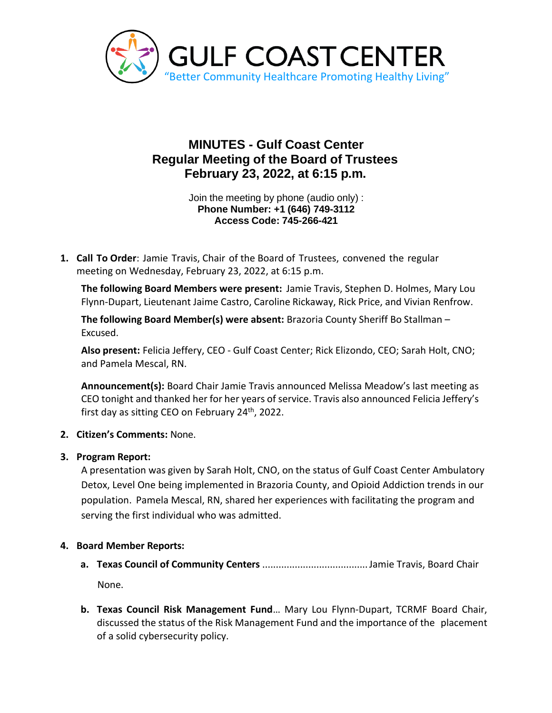

# **MINUTES - Gulf Coast Center Regular Meeting of the Board of Trustees February 23, 2022, at 6:15 p.m.**

Join the meeting by phone (audio only) : **Phone Number: +1 (646) 749-3112 Access Code: 745-266-421**

**1. Call To Order**: Jamie Travis, Chair of the Board of Trustees, convened the regular meeting on Wednesday, February 23, 2022, at 6:15 p.m.

**The following Board Members were present:** Jamie Travis, Stephen D. Holmes, Mary Lou Flynn-Dupart, Lieutenant Jaime Castro, Caroline Rickaway, Rick Price, and Vivian Renfrow.

**The following Board Member(s) were absent:** Brazoria County Sheriff Bo Stallman – Excused.

**Also present:** Felicia Jeffery, CEO - Gulf Coast Center; Rick Elizondo, CEO; Sarah Holt, CNO; and Pamela Mescal, RN.

**Announcement(s):** Board Chair Jamie Travis announced Melissa Meadow's last meeting as CEO tonight and thanked her for her years of service. Travis also announced Felicia Jeffery's first day as sitting CEO on February  $24<sup>th</sup>$ , 2022.

## **2. Citizen's Comments:** None.

## **3. Program Report:**

A presentation was given by Sarah Holt, CNO, on the status of Gulf Coast Center Ambulatory Detox, Level One being implemented in Brazoria County, and Opioid Addiction trends in our population. Pamela Mescal, RN, shared her experiences with facilitating the program and serving the first individual who was admitted.

# **4. Board Member Reports:**

**a. Texas Council of Community Centers** .......................................Jamie Travis, Board Chair None.

**b. Texas Council Risk Management Fund**… Mary Lou Flynn-Dupart, TCRMF Board Chair, discussed the status of the Risk Management Fund and the importance of the placement of a solid cybersecurity policy.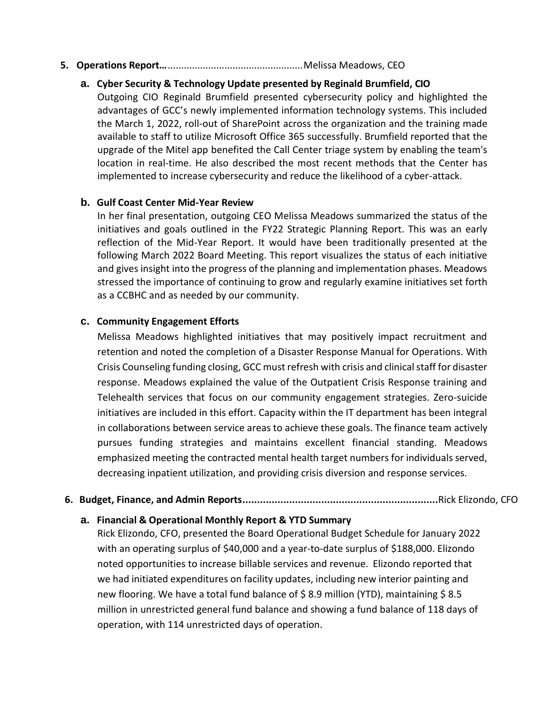#### **5. Operations Report…**..................................................Melissa Meadows, CEO

## **a. Cyber Security & Technology Update presented by Reginald Brumfield, CIO**

Outgoing CIO Reginald Brumfield presented cybersecurity policy and highlighted the advantages of GCC's newly implemented information technology systems. This included the March 1, 2022, roll-out of SharePoint across the organization and the training made available to staff to utilize Microsoft Office 365 successfully. Brumfield reported that the upgrade of the Mitel app benefited the Call Center triage system by enabling the team's location in real-time. He also described the most recent methods that the Center has implemented to increase cybersecurity and reduce the likelihood of a cyber-attack.

#### **b. Gulf Coast Center Mid-Year Review**

In her final presentation, outgoing CEO Melissa Meadows summarized the status of the initiatives and goals outlined in the FY22 Strategic Planning Report. This was an early reflection of the Mid-Year Report. It would have been traditionally presented at the following March 2022 Board Meeting. This report visualizes the status of each initiative and gives insight into the progress of the planning and implementation phases. Meadows stressed the importance of continuing to grow and regularly examine initiatives set forth as a CCBHC and as needed by our community.

#### **c. Community Engagement Efforts**

Melissa Meadows highlighted initiatives that may positively impact recruitment and retention and noted the completion of a Disaster Response Manual for Operations. With Crisis Counseling funding closing, GCC must refresh with crisis and clinical staff for disaster response. Meadows explained the value of the Outpatient Crisis Response training and Telehealth services that focus on our community engagement strategies. Zero-suicide initiatives are included in this effort. Capacity within the IT department has been integral in collaborations between service areas to achieve these goals. The finance team actively pursues funding strategies and maintains excellent financial standing. Meadows emphasized meeting the contracted mental health target numbers for individuals served, decreasing inpatient utilization, and providing crisis diversion and response services.

#### **6. Budget, Finance, and Admin Reports...................................................................**Rick Elizondo, CFO

#### **a. Financial & Operational Monthly Report & YTD Summary**

Rick Elizondo, CFO, presented the Board Operational Budget Schedule for January 2022 with an operating surplus of \$40,000 and a year-to-date surplus of \$188,000. Elizondo noted opportunities to increase billable services and revenue. Elizondo reported that we had initiated expenditures on facility updates, including new interior painting and new flooring. We have a total fund balance of \$8.9 million (YTD), maintaining \$8.5 million in unrestricted general fund balance and showing a fund balance of 118 days of operation, with 114 unrestricted days of operation.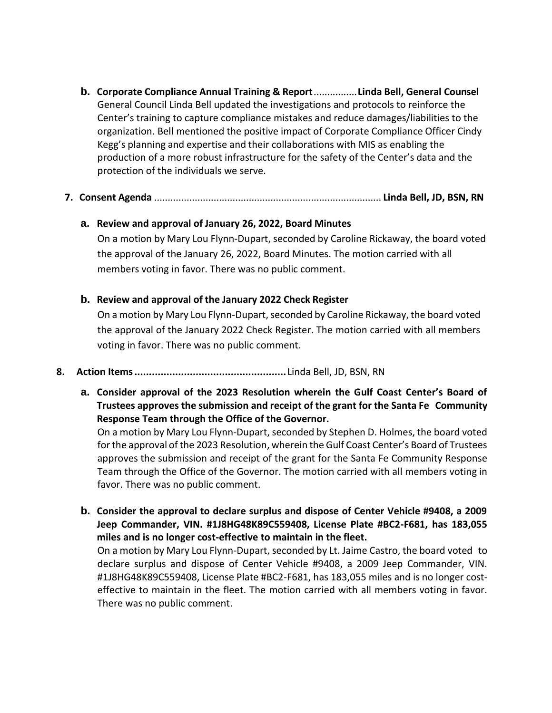**b. Corporate Compliance Annual Training & Report**................**Linda Bell, General Counsel** General Council Linda Bell updated the investigations and protocols to reinforce the Center's training to capture compliance mistakes and reduce damages/liabilities to the organization. Bell mentioned the positive impact of Corporate Compliance Officer Cindy Kegg's planning and expertise and their collaborations with MIS as enabling the production of a more robust infrastructure for the safety of the Center's data and the protection of the individuals we serve.

# **7. Consent Agenda** .................................................................................... **Linda Bell, JD, BSN, RN**

#### **a. Review and approval of January 26, 2022, Board Minutes**

On a motion by Mary Lou Flynn-Dupart, seconded by Caroline Rickaway, the board voted the approval of the January 26, 2022, Board Minutes. The motion carried with all members voting in favor. There was no public comment.

#### **b. Review and approval of the January 2022 Check Register**

On a motion by Mary Lou Flynn-Dupart, seconded by Caroline Rickaway, the board voted the approval of the January 2022 Check Register. The motion carried with all members voting in favor. There was no public comment.

#### **8. Action Items....................................................**Linda Bell, JD, BSN, RN

**a. Consider approval of the 2023 Resolution wherein the Gulf Coast Center's Board of Trustees approves the submission and receipt of the grant for the Santa Fe Community Response Team through the Office of the Governor.**

On a motion by Mary Lou Flynn-Dupart, seconded by Stephen D. Holmes, the board voted for the approval of the 2023 Resolution, wherein the Gulf Coast Center's Board of Trustees approves the submission and receipt of the grant for the Santa Fe Community Response Team through the Office of the Governor. The motion carried with all members voting in favor. There was no public comment.

**b. Consider the approval to declare surplus and dispose of Center Vehicle #9408, a 2009 Jeep Commander, VIN. #1J8HG48K89C559408, License Plate #BC2-F681, has 183,055 miles and is no longer cost-effective to maintain in the fleet.**

On a motion by Mary Lou Flynn-Dupart, seconded by Lt. Jaime Castro, the board voted to declare surplus and dispose of Center Vehicle #9408, a 2009 Jeep Commander, VIN. #1J8HG48K89C559408, License Plate #BC2-F681, has 183,055 miles and is no longer costeffective to maintain in the fleet. The motion carried with all members voting in favor. There was no public comment.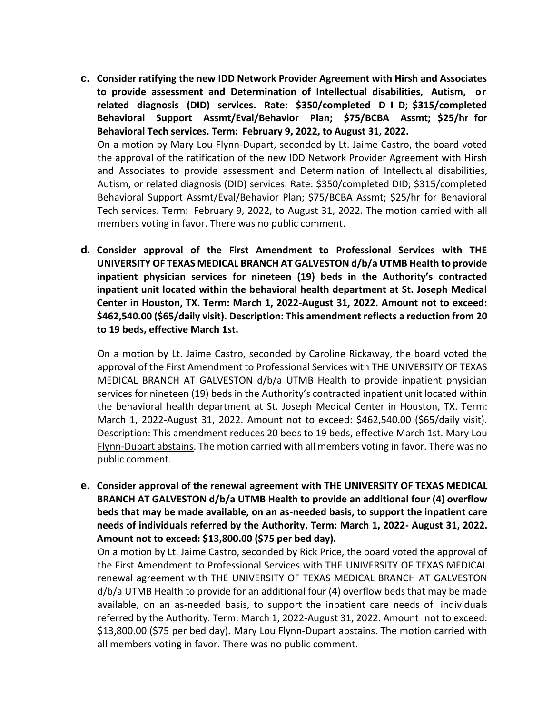- **c. Consider ratifying the new IDD Network Provider Agreement with Hirsh and Associates to provide assessment and Determination of Intellectual disabilities, Autism, or related diagnosis (DID) services. Rate: \$350/completed D I D; \$315/completed Behavioral Support Assmt/Eval/Behavior Plan; \$75/BCBA Assmt; \$25/hr for Behavioral Tech services. Term: February 9, 2022, to August 31, 2022.** On a motion by Mary Lou Flynn-Dupart, seconded by Lt. Jaime Castro, the board voted the approval of the ratification of the new IDD Network Provider Agreement with Hirsh and Associates to provide assessment and Determination of Intellectual disabilities, Autism, or related diagnosis (DID) services. Rate: \$350/completed DID; \$315/completed Behavioral Support Assmt/Eval/Behavior Plan; \$75/BCBA Assmt; \$25/hr for Behavioral Tech services. Term: February 9, 2022, to August 31, 2022. The motion carried with all members voting in favor. There was no public comment.
- **d. Consider approval of the First Amendment to Professional Services with THE UNIVERSITY OF TEXAS MEDICAL BRANCH AT GALVESTON d/b/a UTMB Health to provide inpatient physician services for nineteen (19) beds in the Authority's contracted inpatient unit located within the behavioral health department at St. Joseph Medical Center in Houston, TX. Term: March 1, 2022-August 31, 2022. Amount not to exceed: \$462,540.00 (\$65/daily visit). Description: This amendment reflects a reduction from 20 to 19 beds, effective March 1st.**

On a motion by Lt. Jaime Castro, seconded by Caroline Rickaway, the board voted the approval of the First Amendment to Professional Services with THE UNIVERSITY OF TEXAS MEDICAL BRANCH AT GALVESTON d/b/a UTMB Health to provide inpatient physician services for nineteen (19) beds in the Authority's contracted inpatient unit located within the behavioral health department at St. Joseph Medical Center in Houston, TX. Term: March 1, 2022-August 31, 2022. Amount not to exceed: \$462,540.00 (\$65/daily visit). Description: This amendment reduces 20 beds to 19 beds, effective March 1st. Mary Lou Flynn-Dupart abstains. The motion carried with all members voting in favor. There was no public comment.

**e. Consider approval of the renewal agreement with THE UNIVERSITY OF TEXAS MEDICAL BRANCH AT GALVESTON d/b/a UTMB Health to provide an additional four (4) overflow beds that may be made available, on an as-needed basis, to support the inpatient care needs of individuals referred by the Authority. Term: March 1, 2022- August 31, 2022. Amount not to exceed: \$13,800.00 (\$75 per bed day).**

On a motion by Lt. Jaime Castro, seconded by Rick Price, the board voted the approval of the First Amendment to Professional Services with THE UNIVERSITY OF TEXAS MEDICAL renewal agreement with THE UNIVERSITY OF TEXAS MEDICAL BRANCH AT GALVESTON d/b/a UTMB Health to provide for an additional four (4) overflow beds that may be made available, on an as-needed basis, to support the inpatient care needs of individuals referred by the Authority. Term: March 1, 2022-August 31, 2022. Amount not to exceed: \$13,800.00 (\$75 per bed day). Mary Lou Flynn-Dupart abstains. The motion carried with all members voting in favor. There was no public comment.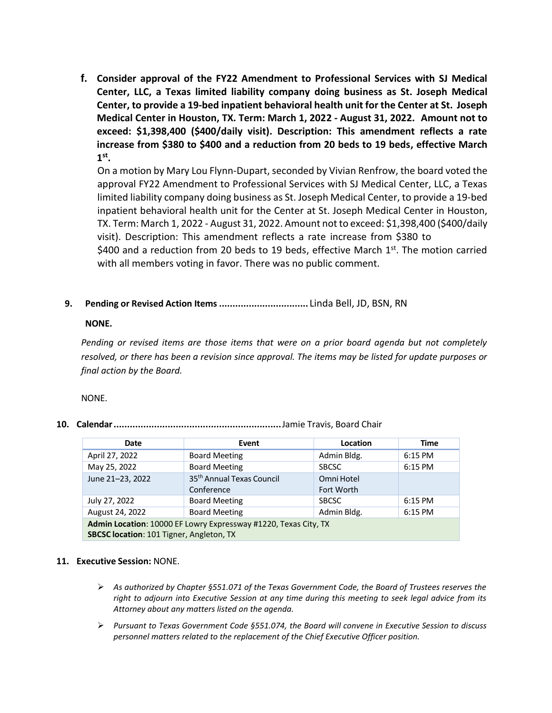**f. Consider approval of the FY22 Amendment to Professional Services with SJ Medical Center, LLC, a Texas limited liability company doing business as St. Joseph Medical Center, to provide a 19-bed inpatient behavioral health unit for the Center at St. Joseph Medical Center in Houston, TX. Term: March 1, 2022 - August 31, 2022. Amount not to exceed: \$1,398,400 (\$400/daily visit). Description: This amendment reflects a rate increase from \$380 to \$400 and a reduction from 20 beds to 19 beds, effective March 1 st .**

On a motion by Mary Lou Flynn-Dupart, seconded by Vivian Renfrow, the board voted the approval FY22 Amendment to Professional Services with SJ Medical Center, LLC, a Texas limited liability company doing business as St. Joseph Medical Center, to provide a 19-bed inpatient behavioral health unit for the Center at St. Joseph Medical Center in Houston, TX. Term: March 1, 2022 - August 31, 2022. Amount not to exceed: \$1,398,400 (\$400/daily visit). Description: This amendment reflects a rate increase from \$380 to \$400 and a reduction from 20 beds to 19 beds, effective March  $1<sup>st</sup>$ . The motion carried

with all members voting in favor. There was no public comment.

**9. Pending or Revised Action Items.................................** Linda Bell, JD, BSN, RN

#### **NONE.**

*Pending or revised items are those items that were on a prior board agenda but not completely resolved, or there has been a revision since approval. The items may be listed for update purposes or final action by the Board.*

NONE.

**10. Calendar..............................................................**Jamie Travis, Board Chair

| Date                                     | Event                                                           | Location     | <b>Time</b> |
|------------------------------------------|-----------------------------------------------------------------|--------------|-------------|
| April 27, 2022                           | <b>Board Meeting</b>                                            | Admin Bldg.  | 6:15 PM     |
| May 25, 2022                             | <b>Board Meeting</b>                                            | <b>SBCSC</b> | 6:15 PM     |
| June 21-23, 2022                         | 35 <sup>th</sup> Annual Texas Council                           | Omni Hotel   |             |
|                                          | Conference                                                      | Fort Worth   |             |
| July 27, 2022                            | <b>Board Meeting</b>                                            | <b>SBCSC</b> | 6:15 PM     |
| August 24, 2022                          | <b>Board Meeting</b>                                            | Admin Bldg.  | 6:15 PM     |
|                                          | Admin Location: 10000 EF Lowry Expressway #1220, Texas City, TX |              |             |
| SBCSC location: 101 Tigner, Angleton, TX |                                                                 |              |             |

#### **11. Executive Session:** NONE.

- ➢ *As authorized by Chapter §551.071 of the Texas Government Code, the Board of Trustees reserves the right to adjourn into Executive Session at any time during this meeting to seek legal advice from its Attorney about any matters listed on the agenda.*
- ➢ *Pursuant to Texas Government Code §551.074, the Board will convene in Executive Session to discuss personnel matters related to the replacement of the Chief Executive Officer position.*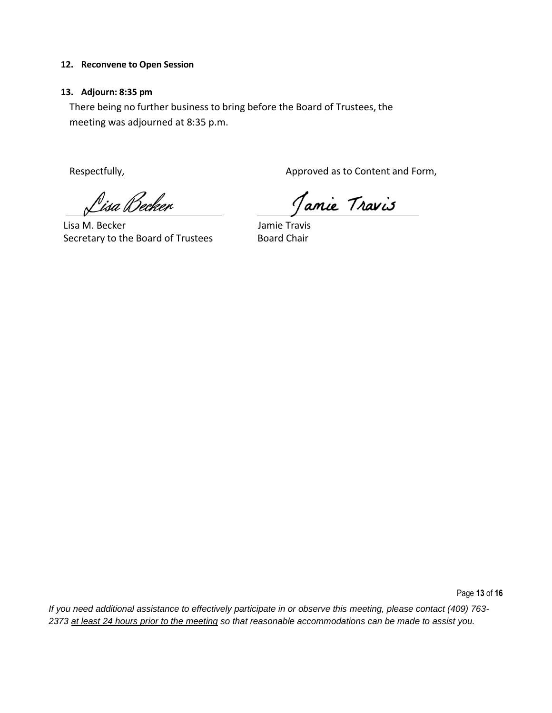#### **12. Reconvene to Open Session**

<u> P</u>isa Becker

#### **13. Adjourn: 8:35 pm**

There being no further business to bring before the Board of Trustees, the meeting was adjourned at 8:35 p.m.

Respectfully, The Content and Form, Approved as to Content and Form,

Jamie Travis

Lisa M. Becker **Jamie Travis** Secretary to the Board of Trustees Board Chair

Page **13** of **16**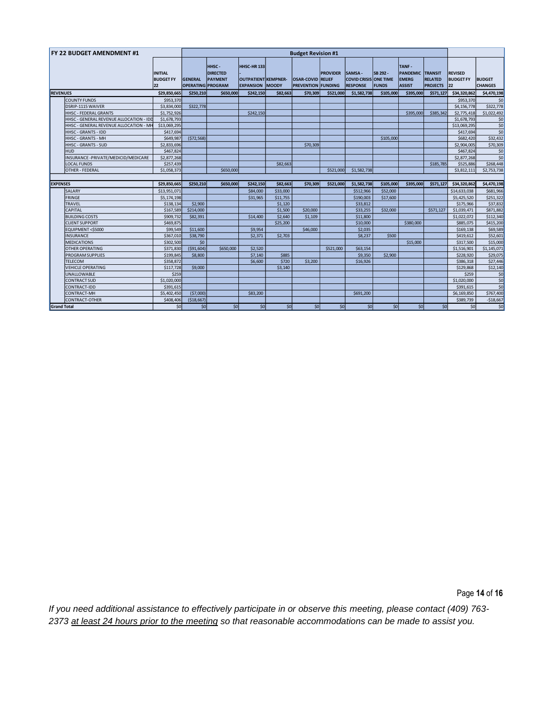|                 | <b>FY 22 BUDGET AMENDMENT #1</b>        |                                          |                                            | <b>Budget Revision #1</b>                  |                                                              |              |                                                       |                 |                                                                 |                          |                                                           |                                                     |                                          |                                 |
|-----------------|-----------------------------------------|------------------------------------------|--------------------------------------------|--------------------------------------------|--------------------------------------------------------------|--------------|-------------------------------------------------------|-----------------|-----------------------------------------------------------------|--------------------------|-----------------------------------------------------------|-----------------------------------------------------|------------------------------------------|---------------------------------|
|                 |                                         | <b>INITIAL</b><br><b>BUDGET FY</b><br>22 | <b>GENERAL</b><br><b>OPERATING PROGRAM</b> | HHSC-<br><b>DIRECTED</b><br><b>PAYMENT</b> | HHSC-HR133<br><b>OUTPATIENT KEMPNER-</b><br><b>EXPANSION</b> | <b>MOODY</b> | <b>OSAR-COVID RELIEF</b><br><b>PREVENTION FUNDING</b> | <b>PROVIDER</b> | <b>SAMSA</b><br><b>COVID CRISIS ONE TIME</b><br><b>RESPONSE</b> | SB 292 -<br><b>FUNDS</b> | TANF-<br><b>PANDEMIC</b><br><b>EMERG</b><br><b>ASSIST</b> | <b>TRANSIT</b><br><b>RELATED</b><br><b>PROJECTS</b> | <b>REVISED</b><br><b>BUDGET FY</b><br>22 | <b>BUDGET</b><br><b>CHANGES</b> |
| <b>REVENUES</b> |                                         | \$29,850,665                             | \$250,210                                  | \$650,000                                  | \$242,150                                                    | \$82,663     | \$70,309                                              | \$521.000       | \$1,582,738                                                     | \$105,000                | \$395,000                                                 | \$571,127                                           | \$34,320,862                             | \$4,470,198                     |
|                 | <b>COUNTY FUNDS</b>                     | \$953,370                                |                                            |                                            |                                                              |              |                                                       |                 |                                                                 |                          |                                                           |                                                     | \$953,370                                | \$0                             |
|                 | DSRIP-1115 WAIVER                       | \$3,834,000                              | \$322,778                                  |                                            |                                                              |              |                                                       |                 |                                                                 |                          |                                                           |                                                     | \$4,156,778                              | \$322,778                       |
|                 | HHSC - FEDERAL GRANTS                   | \$1,752,926                              |                                            |                                            | \$242,150                                                    |              |                                                       |                 |                                                                 |                          | \$395,000                                                 | \$385,342                                           | \$2,775,418                              | \$1,022,492                     |
|                 | HHSC - GENERAL REVENUE ALLOCATION - IDD | \$1,678,793                              |                                            |                                            |                                                              |              |                                                       |                 |                                                                 |                          |                                                           |                                                     | \$1,678,793                              | \$0                             |
|                 | HHSC - GENERAL REVENUE ALLOCATION - MH  | \$13,069,295                             |                                            |                                            |                                                              |              |                                                       |                 |                                                                 |                          |                                                           |                                                     | \$13,069,295                             | \$0                             |
|                 | HHSC - GRANTS - IDD                     | \$417,694                                |                                            |                                            |                                                              |              |                                                       |                 |                                                                 |                          |                                                           |                                                     | \$417,694                                | \$0                             |
|                 | HHSC - GRANTS - MH                      | \$649,987                                | (572, 568)                                 |                                            |                                                              |              |                                                       |                 |                                                                 | \$105,000                |                                                           |                                                     | \$682.420                                | \$32,432                        |
|                 | <b>HHSC - GRANTS - SUD</b>              | \$2,833,696                              |                                            |                                            |                                                              |              | \$70,309                                              |                 |                                                                 |                          |                                                           |                                                     | \$2,904,005                              | \$70,309                        |
|                 | <b>HUD</b>                              | \$467,824                                |                                            |                                            |                                                              |              |                                                       |                 |                                                                 |                          |                                                           |                                                     | \$467,824                                | \$0                             |
|                 | INSURANCE - PRIVATE/MEDICID/MEDICARE    | \$2,877,268                              |                                            |                                            |                                                              |              |                                                       |                 |                                                                 |                          |                                                           |                                                     | \$2,877,268                              | \$0                             |
|                 | <b>LOCAL FUNDS</b>                      | \$257,439                                |                                            |                                            |                                                              | \$82,663     |                                                       |                 |                                                                 |                          |                                                           | \$185,785                                           | \$525,886                                | \$268,448                       |
|                 | OTHER - FEDERAL                         | \$1,058,373                              |                                            | \$650,000                                  |                                                              |              |                                                       | \$521.000       | \$1,582,738                                                     |                          |                                                           |                                                     | \$3,812,111                              | \$2,753,738                     |
|                 |                                         |                                          |                                            |                                            |                                                              |              |                                                       |                 |                                                                 |                          |                                                           |                                                     |                                          |                                 |
| <b>EXPENSES</b> |                                         | \$29,850,665                             | \$250,210                                  | \$650,000                                  | \$242.150                                                    | \$82,663     | \$70,309                                              | \$521.000       | \$1,582,738                                                     | \$105,000                | \$395,000                                                 | \$571,127                                           | \$34,320,862                             | \$4,470,198                     |
|                 | SALARY                                  | \$13,951,071                             |                                            |                                            | \$84,000                                                     | \$33,000     |                                                       |                 | \$512,966                                                       | \$52,000                 |                                                           |                                                     | \$14,633,038                             | \$681,966                       |
|                 | <b>FRINGE</b>                           | \$5,174,198                              |                                            |                                            | \$31,965                                                     | \$11,755     |                                                       |                 | \$190,003                                                       | \$17,600                 |                                                           |                                                     | \$5,425,520                              | \$251,322                       |
|                 | <b>TRAVEL</b>                           | \$138.134                                | \$2,900                                    |                                            |                                                              | \$1,120      |                                                       |                 | \$33,812                                                        |                          |                                                           |                                                     |                                          | \$37,832                        |
|                 |                                         |                                          |                                            |                                            |                                                              |              |                                                       |                 |                                                                 |                          |                                                           |                                                     | \$175,966                                |                                 |
|                 | <b>CAPITAL</b>                          | \$167,589                                | \$214,000                                  |                                            |                                                              | \$1,500      | \$20,000                                              |                 | \$33,255                                                        | \$32,000                 |                                                           | \$571,127                                           | \$1,039,471                              | \$871,882                       |
|                 | <b>BUILDING COSTS</b>                   | \$909,732                                | \$82,391                                   |                                            | \$14,400                                                     | \$2,640      | \$1,109                                               |                 | \$11,800                                                        |                          |                                                           |                                                     | \$1,022,072                              | \$112,340                       |
|                 | <b>CLIENT SUPPORT</b>                   | \$469,875                                |                                            |                                            |                                                              | \$25,200     |                                                       |                 | \$10,000                                                        |                          | \$380,000                                                 |                                                     | \$885.075                                | \$415,200                       |
|                 | EQUIPMENT <\$5000                       | \$99,549                                 | \$11,600                                   |                                            | \$9,954                                                      |              | \$46,000                                              |                 | \$2,035                                                         |                          |                                                           |                                                     | \$169,138                                | \$69,589                        |
|                 | <b>INSURANCE</b>                        | \$367,010                                | \$38,790                                   |                                            | \$2,371                                                      | \$2,703      |                                                       |                 | \$8,237                                                         | \$500                    |                                                           |                                                     | \$419,612                                | \$52,601                        |
|                 | <b>MEDICATIONS</b>                      | \$302,500                                | \$0                                        |                                            |                                                              |              |                                                       |                 |                                                                 |                          | \$15,000                                                  |                                                     | \$317,500                                | \$15,000                        |
|                 | OTHER OPERATING                         | \$371,830                                | ( \$91,604)                                | \$650,000                                  | \$2,520                                                      |              |                                                       | \$521,000       | \$63,154                                                        |                          |                                                           |                                                     | \$1,516,901                              | \$1,145,071                     |
|                 | PROGRAM SUPPLIES                        | \$199,845                                | \$8,800                                    |                                            | \$7,140                                                      | \$885        |                                                       |                 | \$9,350                                                         | \$2,900                  |                                                           |                                                     | \$228,920                                | \$29,075                        |
|                 | <b>TELECOM</b>                          | \$358,872                                |                                            |                                            | \$6,600                                                      | \$720        | \$3,200                                               |                 | \$16,926                                                        |                          |                                                           |                                                     | \$386,318                                | \$27,446                        |
|                 | <b>VEHICLE OPERATING</b>                | \$117,728                                | \$9,000                                    |                                            |                                                              | \$3,140      |                                                       |                 |                                                                 |                          |                                                           |                                                     | \$129,868                                |                                 |
|                 | UNALLOWABLE                             | \$259                                    |                                            |                                            |                                                              |              |                                                       |                 |                                                                 |                          |                                                           |                                                     | \$259                                    | \$12,140<br>\$0                 |
|                 | <b>CONTRACT SUD</b>                     | \$1,020,000                              |                                            |                                            |                                                              |              |                                                       |                 |                                                                 |                          |                                                           |                                                     | \$1,020,000                              |                                 |
|                 | CONTRACT-IDD                            | \$391,615                                |                                            |                                            |                                                              |              |                                                       |                 |                                                                 |                          |                                                           |                                                     | \$391,615                                | \$0<br>\$0                      |
|                 | CONTRACT-MH                             | \$5,402,450                              | (57,000)                                   |                                            | \$83,200                                                     |              |                                                       |                 | \$691,200                                                       |                          |                                                           |                                                     | \$6,169,850                              | \$767,400                       |
|                 | CONTRACT-OTHER                          | \$408,406                                | ( \$18,667]                                |                                            |                                                              |              |                                                       |                 |                                                                 |                          |                                                           |                                                     | \$389.739                                | $-$18,667$                      |

Page **14** of **16**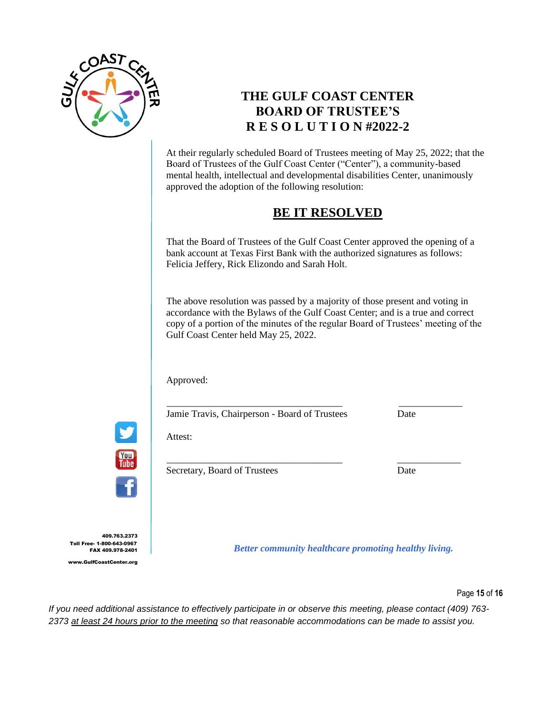

# **THE GULF COAST CENTER BOARD OF TRUSTEE'S R E S O L U T I O N #2022-2**

At their regularly scheduled Board of Trustees meeting of May 25, 2022; that the Board of Trustees of the Gulf Coast Center ("Center"), a community-based mental health, intellectual and developmental disabilities Center, unanimously approved the adoption of the following resolution:

# **BE IT RESOLVED**

That the Board of Trustees of the Gulf Coast Center approved the opening of a bank account at Texas First Bank with the authorized signatures as follows: Felicia Jeffery, Rick Elizondo and Sarah Holt.

The above resolution was passed by a majority of those present and voting in accordance with the Bylaws of the Gulf Coast Center; and is a true and correct copy of a portion of the minutes of the regular Board of Trustees' meeting of the Gulf Coast Center held May 25, 2022.

\_\_\_\_\_\_\_\_\_\_\_\_\_\_\_\_\_\_\_\_\_\_\_\_\_\_\_\_\_\_\_\_\_\_\_\_ \_\_\_\_\_\_\_\_\_\_\_\_\_

\_\_\_\_\_\_\_\_\_\_\_\_\_\_\_\_\_\_\_\_\_\_\_\_\_\_\_\_\_\_\_\_\_\_\_\_ \_\_\_\_\_\_\_\_\_\_\_\_\_

Approved:

Attest:

Jamie Travis, Chairperson - Board of Trustees Date

You Tube

Secretary, Board of Trustees Date

409.763.2373 Toll Free- 1-800-643-0967 FAX 409.978-2401 www.GulfCoastCenter.org

*Better community healthcare promoting healthy living.*

Page **15** of **16**